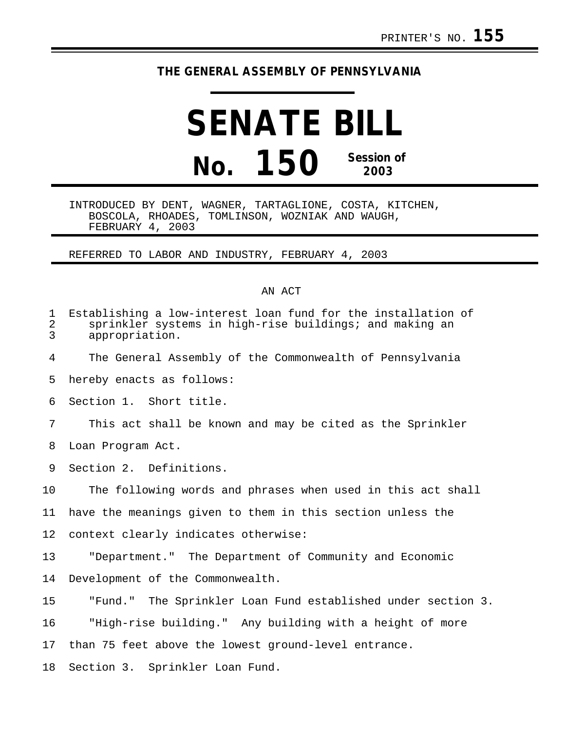## **THE GENERAL ASSEMBLY OF PENNSYLVANIA**

## **SENATE BILL No. 150 Session of 2003**

INTRODUCED BY DENT, WAGNER, TARTAGLIONE, COSTA, KITCHEN, BOSCOLA, RHOADES, TOMLINSON, WOZNIAK AND WAUGH, FEBRUARY 4, 2003

REFERRED TO LABOR AND INDUSTRY, FEBRUARY 4, 2003

## AN ACT

| $\mathbf 1$<br>$\overline{2}$<br>3 | Establishing a low-interest loan fund for the installation of<br>sprinkler systems in high-rise buildings; and making an<br>appropriation. |
|------------------------------------|--------------------------------------------------------------------------------------------------------------------------------------------|
| 4                                  | The General Assembly of the Commonwealth of Pennsylvania                                                                                   |
| 5                                  | hereby enacts as follows:                                                                                                                  |
| 6                                  | Section 1. Short title.                                                                                                                    |
| 7                                  | This act shall be known and may be cited as the Sprinkler                                                                                  |
| 8                                  | Loan Program Act.                                                                                                                          |
| 9                                  | Section 2. Definitions.                                                                                                                    |
| 10                                 | The following words and phrases when used in this act shall                                                                                |
| 11                                 | have the meanings given to them in this section unless the                                                                                 |
| 12 <sup>°</sup>                    | context clearly indicates otherwise:                                                                                                       |
| 13                                 | "Department." The Department of Community and Economic                                                                                     |
| 14                                 | Development of the Commonwealth.                                                                                                           |
| 15                                 | "Fund." The Sprinkler Loan Fund established under section 3.                                                                               |
| 16                                 | "High-rise building." Any building with a height of more                                                                                   |
| 17                                 | than 75 feet above the lowest ground-level entrance.                                                                                       |
|                                    | $10 \quad 0 \quad \text{m}$                                                                                                                |

18 Section 3. Sprinkler Loan Fund.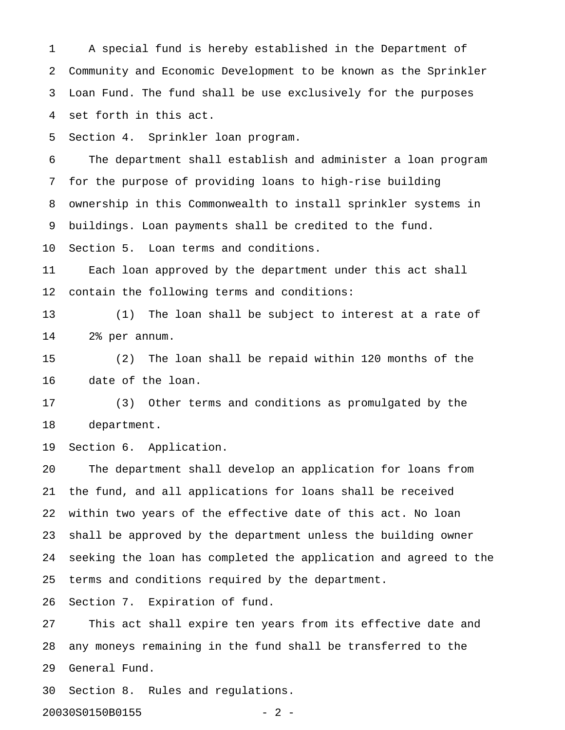1 A special fund is hereby established in the Department of 2 Community and Economic Development to be known as the Sprinkler 3 Loan Fund. The fund shall be use exclusively for the purposes 4 set forth in this act.

5 Section 4. Sprinkler loan program.

6 The department shall establish and administer a loan program 7 for the purpose of providing loans to high-rise building 8 ownership in this Commonwealth to install sprinkler systems in 9 buildings. Loan payments shall be credited to the fund.

10 Section 5. Loan terms and conditions.

11 Each loan approved by the department under this act shall 12 contain the following terms and conditions:

13 (1) The loan shall be subject to interest at a rate of 14 2% per annum.

15 (2) The loan shall be repaid within 120 months of the 16 date of the loan.

17 (3) Other terms and conditions as promulgated by the 18 department.

19 Section 6. Application.

20 The department shall develop an application for loans from 21 the fund, and all applications for loans shall be received 22 within two years of the effective date of this act. No loan 23 shall be approved by the department unless the building owner 24 seeking the loan has completed the application and agreed to the 25 terms and conditions required by the department.

26 Section 7. Expiration of fund.

27 This act shall expire ten years from its effective date and 28 any moneys remaining in the fund shall be transferred to the 29 General Fund.

30 Section 8. Rules and regulations.

20030S0150B0155 - 2 -